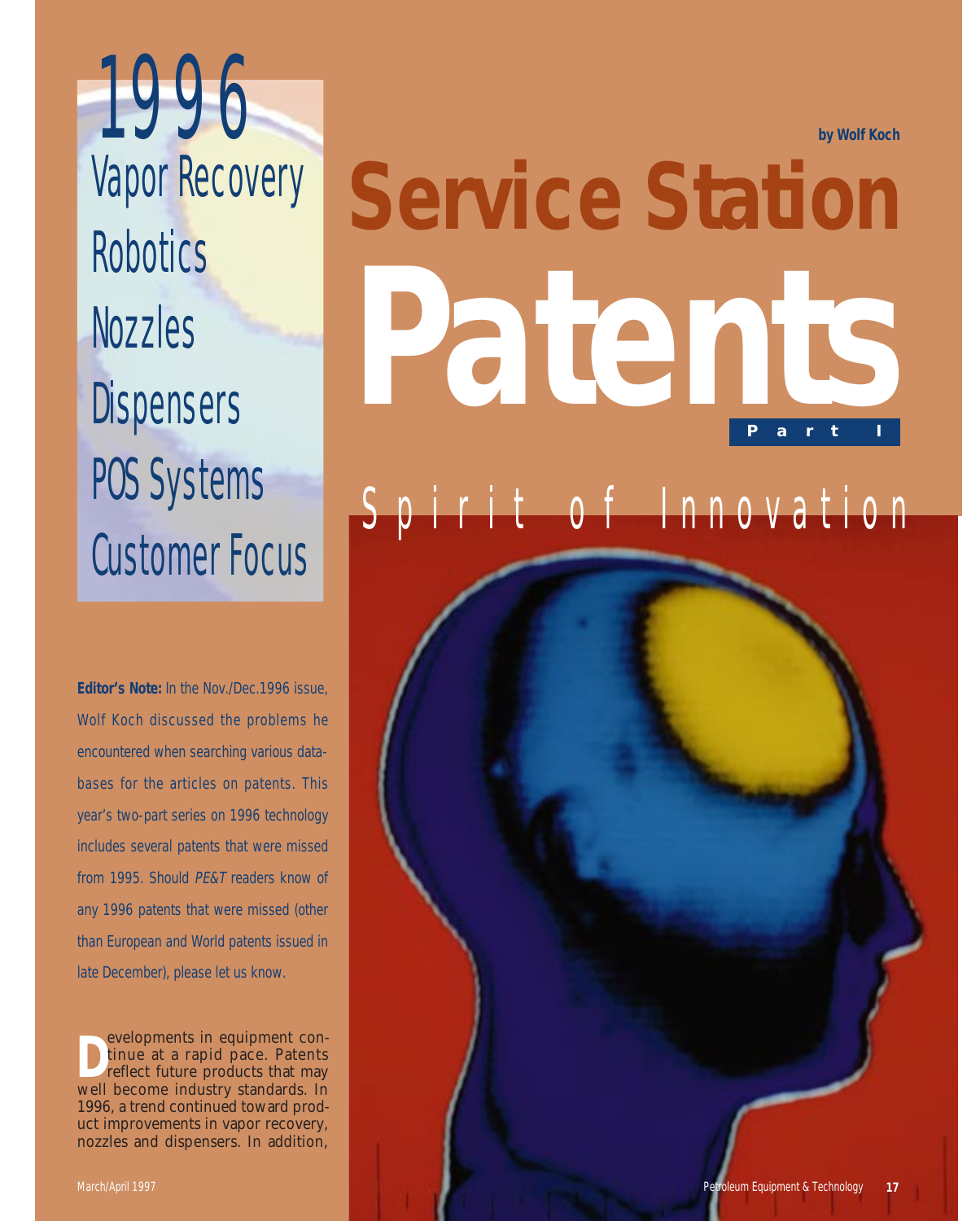**by Wolf Koch**

# **Service Station Part I Patents**

# rit of Innovation

**Editor's Note:** In the Nov./Dec.1996 issue, Wolf Koch discussed the problems he encountered when searching various databases for the articles on patents. This year's two-part series on 1996 technology includes several patents that were missed from 1995. Should PE&T readers know of any 1996 patents that were missed (other than European and World patents issued in late December), please let us know.

1996

Robotics

Nozzles

**Dispensers** 

POS Systems

Customer Focus

Vapor Recovery

**D** evelopments in equipment continue at a rapid pace. Patents reflect future products that may well become industry standards. In 1996, a trend continued toward product improvements in vapor recovery, nozzles and dispensers. In addition,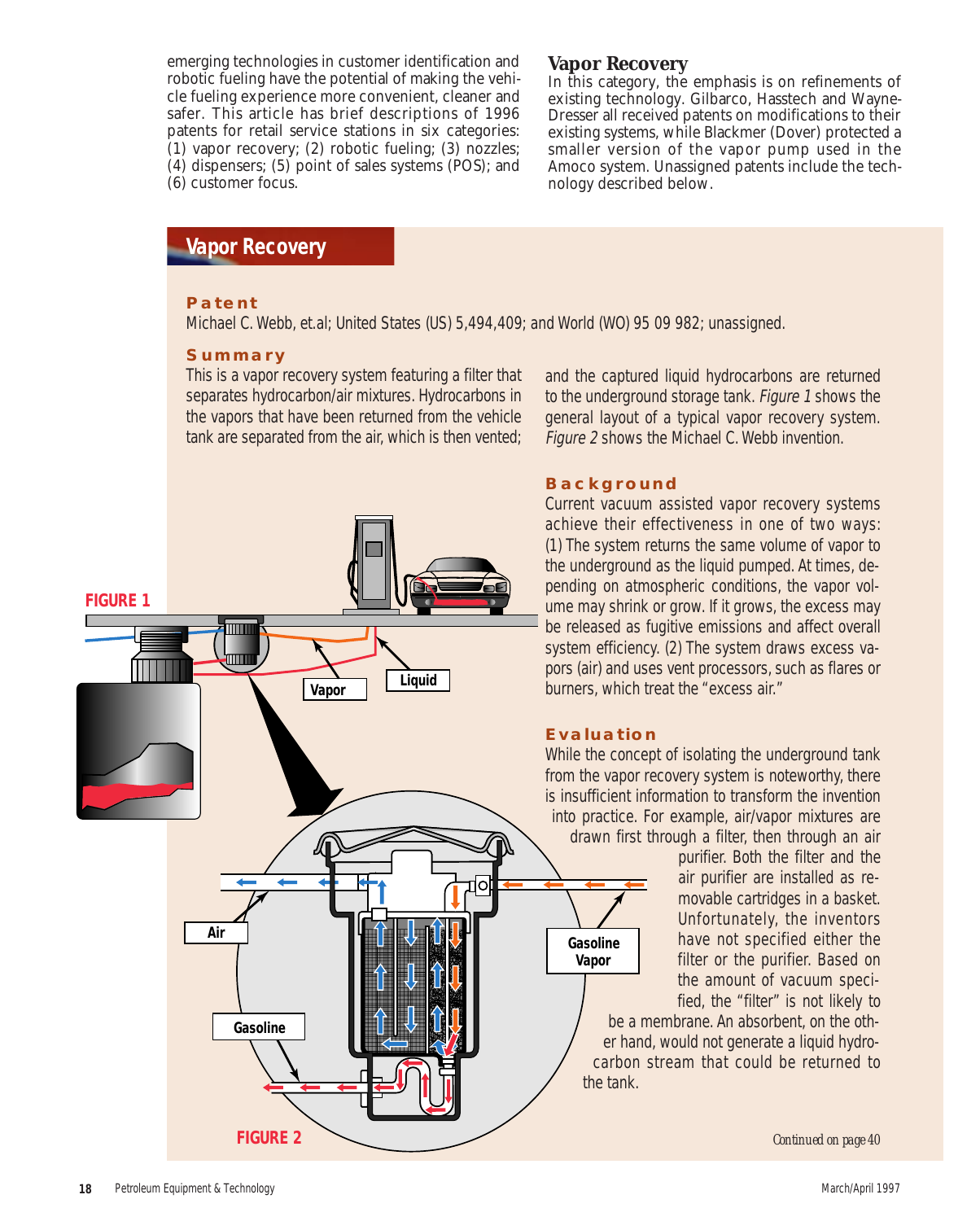emerging technologies in customer identification and robotic fueling have the potential of making the vehicle fueling experience more convenient, cleaner and safer. This article has brief descriptions of 1996 patents for retail service stations in six categories: (1) vapor recovery; (2) robotic fueling; (3) nozzles; (4) dispensers; (5) point of sales systems (POS); and (6) customer focus.

#### **Vapor Recovery**

In this category, the emphasis is on refinements of existing technology. Gilbarco, Hasstech and Wayne-Dresser all received patents on modifications to their existing systems, while Blackmer (Dover) protected a smaller version of the vapor pump used in the Amoco system. Unassigned patents include the technology described below.

## **Vapor Recovery**

#### **Patent**

Michael C. Webb, et.al; United States (US) 5,494,409; and World (WO) 95 09 982; unassigned.

#### **Summary**

This is a vapor recovery system featuring a filter that separates hydrocarbon/air mixtures. Hydrocarbons in the vapors that have been returned from the vehicle tank are separated from the air, which is then vented;



and the captured liquid hydrocarbons are returned to the underground storage tank. Figure 1 shows the general layout of a typical vapor recovery system. Figure 2 shows the Michael C. Webb invention.

#### **Background**

Current vacuum assisted vapor recovery systems achieve their effectiveness in one of two ways: (1) The system returns the same volume of vapor to the underground as the liquid pumped. At times, depending on atmospheric conditions, the vapor volume may shrink or grow. If it grows, the excess may be released as fugitive emissions and affect overall system efficiency. (2) The system draws excess vapors (air) and uses vent processors, such as flares or burners, which treat the "excess air."

#### **Evaluation**

While the concept of isolating the underground tank from the vapor recovery system is noteworthy, there is insufficient information to transform the invention into practice. For example, air/vapor mixtures are drawn first through a filter, then through an air

> purifier. Both the filter and the air purifier are installed as removable cartridges in a basket. Unfortunately, the inventors have not specified either the filter or the purifier. Based on the amount of vacuum specified, the "filter" is not likely to

be a membrane. An absorbent, on the other hand, would not generate a liquid hydrocarbon stream that could be returned to the tank.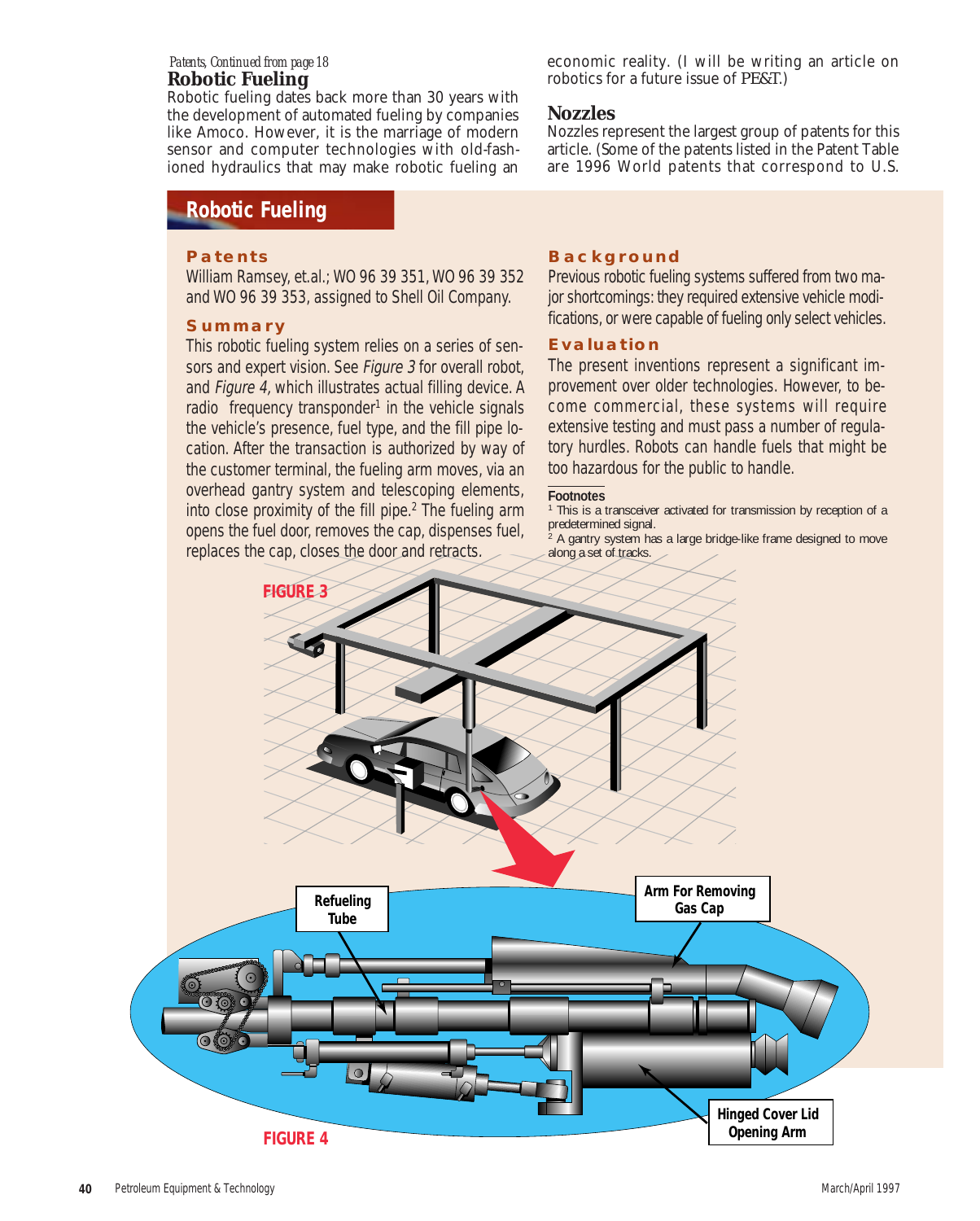#### **Robotic Fueling**  *Patents, Continued from page 18*

Robotic fueling dates back more than 30 years with the development of automated fueling by companies like Amoco. However, it is the marriage of modern sensor and computer technologies with old-fashioned hydraulics that may make robotic fueling an

## **Robotic Fueling**

#### **Patents**

William Ramsey, et.al.; WO 96 39 351, WO 96 39 352 and WO 96 39 353, assigned to Shell Oil Company.

#### **Summary**

This robotic fueling system relies on a series of sensors and expert vision. See Figure 3 for overall robot, and Figure 4, which illustrates actual filling device. A radio frequency transponder<sup>1</sup> in the vehicle signals the vehicle's presence, fuel type, and the fill pipe location. After the transaction is authorized by way of the customer terminal, the fueling arm moves, via an overhead gantry system and telescoping elements, into close proximity of the fill pipe. $2$  The fueling arm opens the fuel door, removes the cap, dispenses fuel, replaces the cap, closes the door and retracts.

economic reality. (I will be writing an article on robotics for a future issue of *PE&T*.)

#### **Nozzles**

Nozzles represent the largest group of patents for this article. (Some of the patents listed in the Patent Table are 1996 World patents that correspond to U.S.

#### **Background**

Previous robotic fueling systems suffered from two major shortcomings: they required extensive vehicle modifications, or were capable of fueling only select vehicles.

#### **Evaluation**

The present inventions represent a significant improvement over older technologies. However, to become commercial, these systems will require extensive testing and must pass a number of regulatory hurdles. Robots can handle fuels that might be too hazardous for the public to handle.

#### **Footnotes**

<sup>1</sup> This is a transceiver activated for transmission by reception of a predetermined signal.

 $2$  A gantry system has a large bridge-like frame designed to move along a set of tracks.

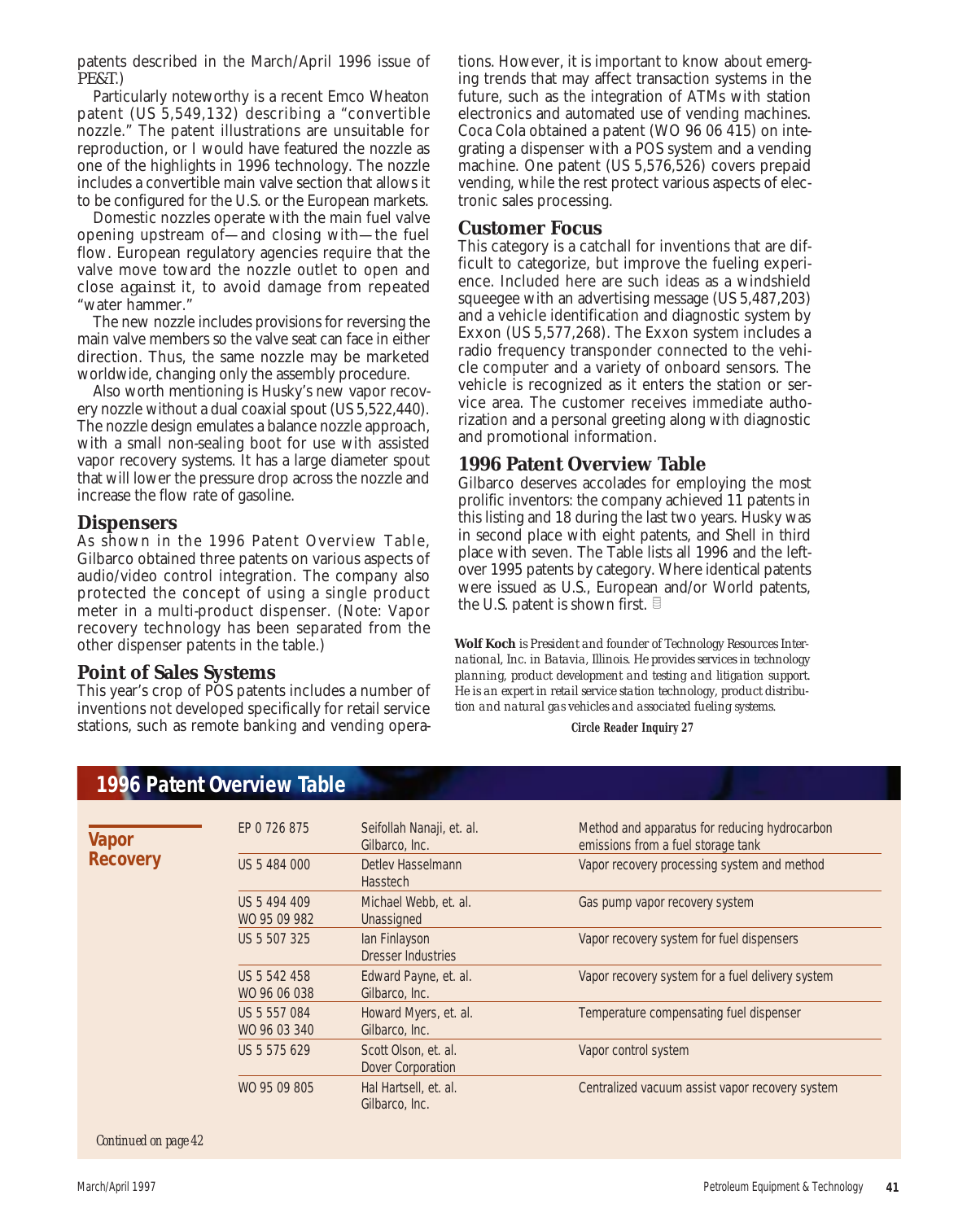patents described in the March/April 1996 issue of *PE&T*.)

Particularly noteworthy is a recent Emco Wheaton patent (US 5,549,132) describing a "convertible nozzle." The patent illustrations are unsuitable for reproduction, or I would have featured the nozzle as one of the highlights in 1996 technology. The nozzle includes a convertible main valve section that allows it to be configured for the U.S. or the European markets.

Domestic nozzles operate with the main fuel valve opening upstream of—and closing with—the fuel flow. European regulatory agencies require that the valve move toward the nozzle outlet to open and close *against* it, to avoid damage from repeated "water hammer."

The new nozzle includes provisions for reversing the main valve members so the valve seat can face in either direction. Thus, the same nozzle may be marketed worldwide, changing only the assembly procedure.

Also worth mentioning is Husky's new vapor recovery nozzle without a dual coaxial spout (US 5,522,440). The nozzle design emulates a balance nozzle approach, with a small non-sealing boot for use with assisted vapor recovery systems. It has a large diameter spout that will lower the pressure drop across the nozzle and increase the flow rate of gasoline.

#### **Dispensers**

As shown in the 1996 Patent Overview Table, Gilbarco obtained three patents on various aspects of audio/video control integration. The company also protected the concept of using a single product meter in a multi-product dispenser. (Note: Vapor recovery technology has been separated from the other dispenser patents in the table.)

#### **Point of Sales Systems**

This year's crop of POS patents includes a number of inventions not developed specifically for retail service stations, such as remote banking and vending opera-

**1996 Patent Overview Table**

tions. However, it is important to know about emerging trends that may affect transaction systems in the future, such as the integration of ATMs with station electronics and automated use of vending machines. Coca Cola obtained a patent (WO 96 06 415) on integrating a dispenser with a POS system and a vending machine. One patent (US 5,576,526) covers prepaid vending, while the rest protect various aspects of electronic sales processing.

#### **Customer Focus**

This category is a catchall for inventions that are difficult to categorize, but improve the fueling experience. Included here are such ideas as a windshield squeegee with an advertising message (US 5,487,203) and a vehicle identification and diagnostic system by Exxon (US 5,577,268). The Exxon system includes a radio frequency transponder connected to the vehicle computer and a variety of onboard sensors. The vehicle is recognized as it enters the station or service area. The customer receives immediate authorization and a personal greeting along with diagnostic and promotional information.

#### **1996 Patent Overview Table**

Gilbarco deserves accolades for employing the most prolific inventors: the company achieved 11 patents in this listing and 18 during the last two years. Husky was in second place with eight patents, and Shell in third place with seven. The Table lists all 1996 and the leftover 1995 patents by category. Where identical patents were issued as U.S., European and/or World patents, the U.S. patent is shown first.  $\exists$ 

**Wolf Koch** *is President and founder of Technology Resources International, Inc. in Batavia, Illinois. He provides services in technology planning, product development and testing and litigation support. He is an expert in retail service station technology, product distribution and natural gas vehicles and associated fueling systems.*

**Circle Reader Inquiry 27**

| EP 0 726 875                 | Seifollah Nanaji, et. al.<br>Gilbarco, Inc.      | Method and apparatus for reducing hydrocarbon<br>emissions from a fuel storage tank |
|------------------------------|--------------------------------------------------|-------------------------------------------------------------------------------------|
| US 5 484 000                 | Detley Hasselmann<br><b>Hasstech</b>             | Vapor recovery processing system and method                                         |
| US 5 494 409<br>WO 95 09 982 | Michael Webb, et. al.<br>Unassigned              | Gas pump vapor recovery system                                                      |
| US 5 507 325                 | lan Finlayson<br><b>Dresser Industries</b>       | Vapor recovery system for fuel dispensers                                           |
| US 5 542 458<br>WO 96 06 038 | Edward Payne, et. al.<br>Gilbarco, Inc.          | Vapor recovery system for a fuel delivery system                                    |
| US 5 557 084<br>WO 96 03 340 | Howard Myers, et. al.<br>Gilbarco, Inc.          | Temperature compensating fuel dispenser                                             |
| US 5 575 629                 | Scott Olson, et. al.<br><b>Dover Corporation</b> | Vapor control system                                                                |
| WO 95 09 805                 | Hal Hartsell, et. al.<br>Gilbarco, Inc.          | Centralized vacuum assist vapor recovery system                                     |
|                              |                                                  |                                                                                     |

*Continued on page 42*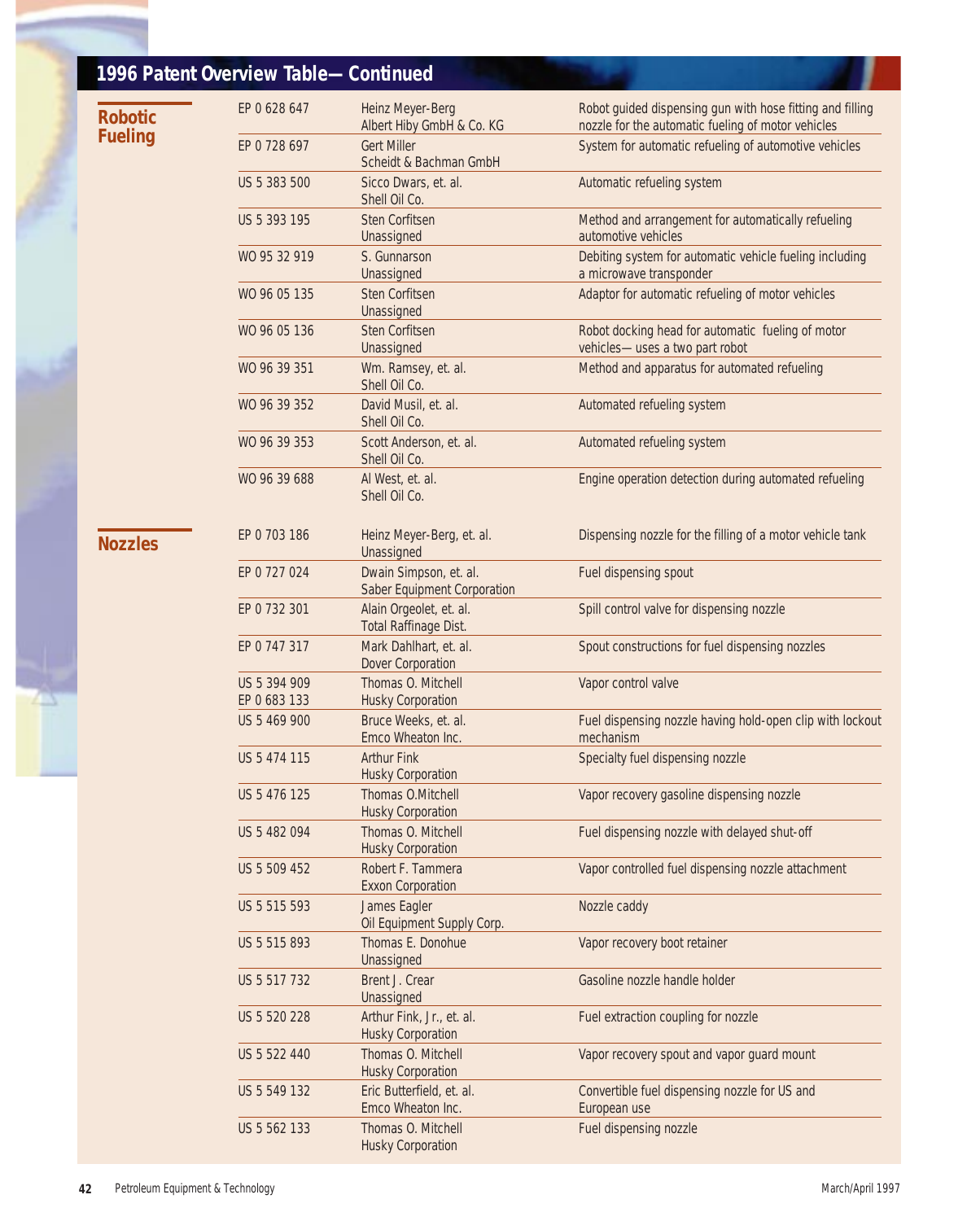|  |                | 1996 Patent Overview Table-Continued |                                                              |                                                                                                                 |
|--|----------------|--------------------------------------|--------------------------------------------------------------|-----------------------------------------------------------------------------------------------------------------|
|  | <b>Robotic</b> | EP 0 628 647                         | Heinz Meyer-Berg<br>Albert Hiby GmbH & Co. KG                | Robot guided dispensing gun with hose fitting and filling<br>nozzle for the automatic fueling of motor vehicles |
|  | <b>Fueling</b> | EP 0 728 697                         | <b>Gert Miller</b><br>Scheidt & Bachman GmbH                 | System for automatic refueling of automotive vehicles                                                           |
|  |                | US 5 383 500                         | Sicco Dwars, et. al.<br>Shell Oil Co.                        | Automatic refueling system                                                                                      |
|  |                | US 5 393 195                         | Sten Corfitsen<br>Unassigned                                 | Method and arrangement for automatically refueling<br>automotive vehicles                                       |
|  |                | WO 95 32 919                         | S. Gunnarson<br>Unassigned                                   | Debiting system for automatic vehicle fueling including<br>a microwave transponder                              |
|  |                | WO 96 05 135                         | Sten Corfitsen<br>Unassigned                                 | Adaptor for automatic refueling of motor vehicles                                                               |
|  |                | WO 96 05 136                         | Sten Corfitsen<br>Unassigned                                 | Robot docking head for automatic fueling of motor<br>vehicles-uses a two part robot                             |
|  |                | WO 96 39 351                         | Wm. Ramsey, et. al.<br>Shell Oil Co.                         | Method and apparatus for automated refueling                                                                    |
|  |                | WO 96 39 352                         | David Musil, et. al.<br>Shell Oil Co.                        | Automated refueling system                                                                                      |
|  |                | WO 96 39 353                         | Scott Anderson, et. al.<br>Shell Oil Co.                     | Automated refueling system                                                                                      |
|  |                | WO 96 39 688                         | Al West, et. al.<br>Shell Oil Co.                            | Engine operation detection during automated refueling                                                           |
|  | <b>Nozzles</b> | EP 0 703 186                         | Heinz Meyer-Berg, et. al.<br>Unassigned                      | Dispensing nozzle for the filling of a motor vehicle tank                                                       |
|  |                | EP 0 727 024                         | Dwain Simpson, et. al.<br><b>Saber Equipment Corporation</b> | Fuel dispensing spout                                                                                           |
|  |                | EP 0 732 301                         | Alain Orgeolet, et. al.<br><b>Total Raffinage Dist.</b>      | Spill control valve for dispensing nozzle                                                                       |
|  |                | EP 0 747 317                         | Mark Dahlhart, et. al.<br><b>Dover Corporation</b>           | Spout constructions for fuel dispensing nozzles                                                                 |
|  |                | US 5 394 909<br>EP 0 683 133         | Thomas O. Mitchell<br><b>Husky Corporation</b>               | Vapor control valve                                                                                             |
|  |                | US 5 469 900                         | Bruce Weeks, et. al.<br>Emco Wheaton Inc.                    | Fuel dispensing nozzle having hold-open clip with lockout<br>mechanism                                          |
|  |                | US 5 474 115                         | <b>Arthur Fink</b><br><b>Husky Corporation</b>               | Specialty fuel dispensing nozzle                                                                                |
|  |                | US 5 476 125                         | Thomas O.Mitchell<br><b>Husky Corporation</b>                | Vapor recovery gasoline dispensing nozzle                                                                       |
|  |                | US 5 482 094                         | Thomas O. Mitchell<br><b>Husky Corporation</b>               | Fuel dispensing nozzle with delayed shut-off                                                                    |
|  |                | US 5 509 452                         | Robert F. Tammera<br><b>Exxon Corporation</b>                | Vapor controlled fuel dispensing nozzle attachment                                                              |
|  |                | US 5 515 593                         | James Eagler<br>Oil Equipment Supply Corp.                   | Nozzle caddy                                                                                                    |
|  |                | US 5 515 893                         | Thomas E. Donohue<br>Unassigned                              | Vapor recovery boot retainer                                                                                    |
|  |                | US 5 517 732                         | Brent J. Crear<br>Unassigned                                 | Gasoline nozzle handle holder                                                                                   |
|  |                | US 5 520 228                         | Arthur Fink, Jr., et. al.<br><b>Husky Corporation</b>        | Fuel extraction coupling for nozzle                                                                             |
|  |                | US 5 522 440                         | Thomas O. Mitchell<br><b>Husky Corporation</b>               | Vapor recovery spout and vapor guard mount                                                                      |
|  |                | US 5 549 132                         | Eric Butterfield, et. al.<br>Emco Wheaton Inc.               | Convertible fuel dispensing nozzle for US and<br>European use                                                   |
|  |                | US 5 562 133                         | Thomas O. Mitchell<br><b>Husky Corporation</b>               | Fuel dispensing nozzle                                                                                          |